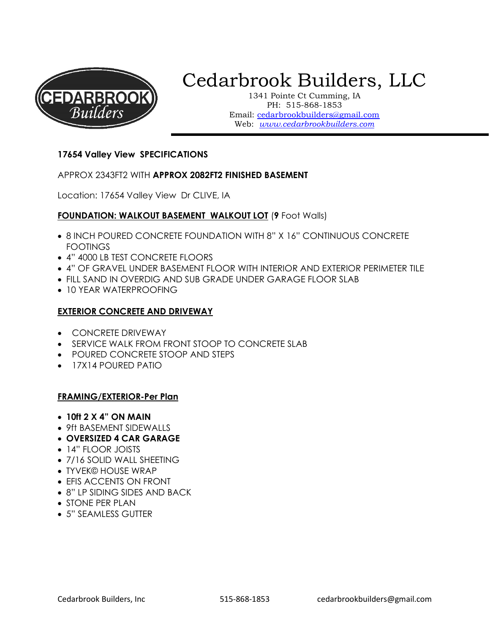

# Cedarbrook Builders, LLC

1341 Pointe Ct Cumming, IA PH: 515-868-1853 Email: cedarbrookbuilders@gmail.com Web: www.cedarbrookbuilders.com

# 17654 Valley View SPECIFICATIONS

#### APPROX 2343FT2 WITH APPROX 2082FT2 FINISHED BASEMENT

Location: 17654 Valley View Dr CLIVE, IA

## FOUNDATION: WALKOUT BASEMENT WALKOUT LOT (9 Foot Walls)

- 8 INCH POURED CONCRETE FOUNDATION WITH 8" X 16" CONTINUOUS CONCRETE FOOTINGS
- 4" 4000 LB TEST CONCRETE FLOORS
- 4" OF GRAVEL UNDER BASEMENT FLOOR WITH INTERIOR AND EXTERIOR PERIMETER TILE
- FILL SAND IN OVERDIG AND SUB GRADE UNDER GARAGE FLOOR SLAB
- 10 YEAR WATERPROOFING

#### EXTERIOR CONCRETE AND DRIVEWAY

- CONCRETE DRIVEWAY
- SERVICE WALK FROM FRONT STOOP TO CONCRETE SLAB
- POURED CONCRETE STOOP AND STEPS
- 17X14 POURED PATIO

#### FRAMING/EXTERIOR-Per Plan

- $\bullet$  10ft 2 X 4" ON MAIN
- 9ft BASEMENT SIDEWALLS
- OVERSIZED 4 CAR GARAGE
- 14" FLOOR JOISTS
- 7/16 SOLID WALL SHEETING
- TYVEK© HOUSE WRAP
- EFIS ACCENTS ON FRONT
- 8" LP SIDING SIDES AND BACK
- STONE PER PLAN
- 5" SEAMLESS GUTTER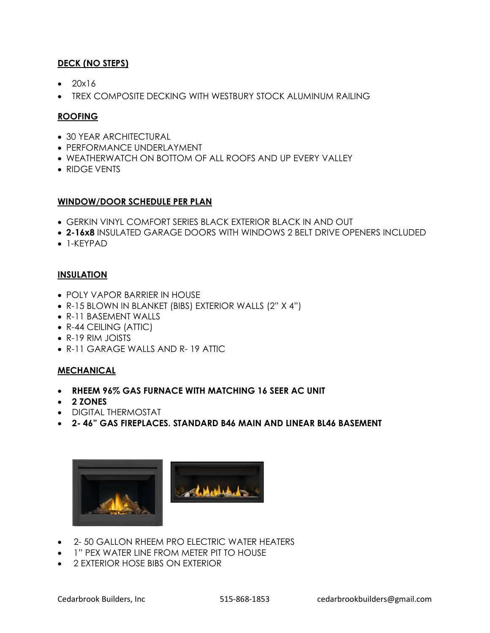# DECK (NO STEPS)

- $\bullet$  20 $\times$ 16
- TREX COMPOSITE DECKING WITH WESTBURY STOCK ALUMINUM RAILING

# ROOFING

- 30 YEAR ARCHITECTURAL
- **PERFORMANCE UNDERLAYMENT**
- WEATHERWATCH ON BOTTOM OF ALL ROOFS AND UP EVERY VALLEY
- RIDGE VENTS

## WINDOW/DOOR SCHEDULE PER PLAN

- GERKIN VINYL COMFORT SERIES BLACK EXTERIOR BLACK IN AND OUT
- 2-16x8 INSULATED GARAGE DOORS WITH WINDOWS 2 BELT DRIVE OPENERS INCLUDED
- 1-KEYPAD

## **INSULATION**

- POLY VAPOR BARRIER IN HOUSE
- R-15 BLOWN IN BLANKET (BIBS) EXTERIOR WALLS (2" X 4")
- R-11 BASEMENT WALLS
- R-44 CEILING (ATTIC)
- R-19 RIM JOISTS
- R-11 GARAGE WALLS AND R- 19 ATTIC

# MECHANICAL

- RHEEM 96% GAS FURNACE WITH MATCHING 16 SEER AC UNIT
- 2 ZONES
- DIGITAL THERMOSTAT
- 2- 46" GAS FIREPLACES. STANDARD B46 MAIN AND LINEAR BL46 BASEMENT



- 2-50 GALLON RHEEM PRO ELECTRIC WATER HEATERS
- 1" PEX WATER LINE FROM METER PIT TO HOUSE
- 2 EXTERIOR HOSE BIBS ON EXTERIOR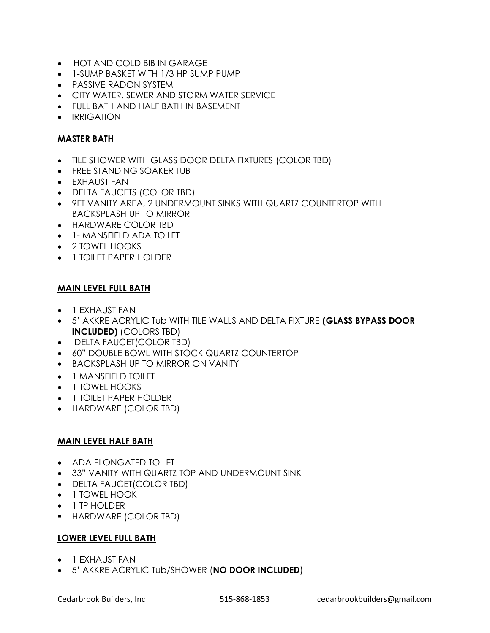- HOT AND COLD BIB IN GARAGE
- 1-SUMP BASKET WITH 1/3 HP SUMP PUMP
- PASSIVE RADON SYSTEM
- CITY WATER, SEWER AND STORM WATER SERVICE
- FULL BATH AND HALF BATH IN BASEMENT
- **•** IRRIGATION

## MASTER BATH

- TILE SHOWER WITH GLASS DOOR DELTA FIXTURES (COLOR TBD)
- FREE STANDING SOAKER TUB
- EXHAUST FAN
- DELTA FAUCETS (COLOR TBD)
- 9FT VANITY AREA, 2 UNDERMOUNT SINKS WITH QUARTZ COUNTERTOP WITH BACKSPLASH UP TO MIRROR
- HARDWARE COLOR TBD
- 1- MANSFIELD ADA TOILET
- 2 TOWEL HOOKS
- **1 TOILET PAPER HOLDER**

## MAIN LEVEL FULL BATH

- **•** 1 EXHAUST FAN
- 5' AKKRE ACRYLIC Tub WITH TILE WALLS AND DELTA FIXTURE (GLASS BYPASS DOOR INCLUDED) (COLORS TBD)
- DELTA FAUCET(COLOR TBD)
- 60" DOUBLE BOWL WITH STOCK QUARTZ COUNTERTOP
- BACKSPLASH UP TO MIRROR ON VANITY
- 1 MANSFIELD TOILET
- 1 TOWEL HOOKS
- 1 TOILET PAPER HOLDER
- HARDWARE (COLOR TBD)

## MAIN LEVEL HALF BATH

- ADA ELONGATED TOILET
- 33" VANITY WITH QUARTZ TOP AND UNDERMOUNT SINK
- DELTA FAUCET(COLOR TBD)
- 1 TOWEL HOOK
- 1 TP HOLDER
- HARDWARE (COLOR TBD)

## LOWER LEVEL FULL BATH

- **•** 1 EXHAUST FAN
- 5' AKKRE ACRYLIC Tub/SHOWER (NO DOOR INCLUDED)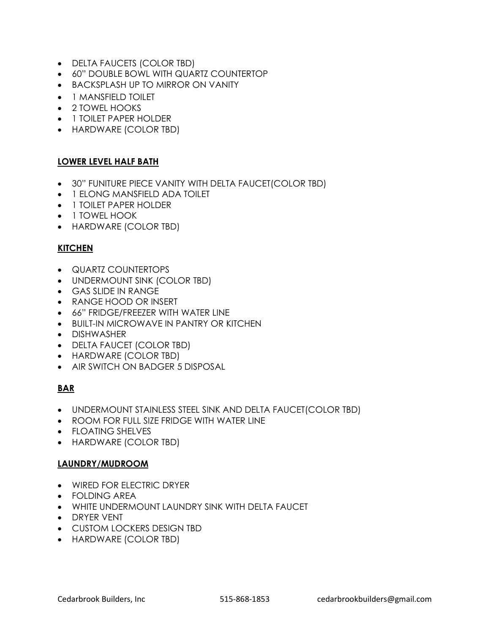- DELTA FAUCETS (COLOR TBD)
- 60" DOUBLE BOWL WITH QUARTZ COUNTERTOP
- **BACKSPLASH UP TO MIRROR ON VANITY**
- 1 MANSFIELD TOILET
- 2 TOWEL HOOKS
- **1 TOILET PAPER HOLDER**
- HARDWARE (COLOR TBD)

# LOWER LEVEL HALF BATH

- 30" FUNITURE PIECE VANITY WITH DELTA FAUCET(COLOR TBD)
- 1 ELONG MANSFIELD ADA TOILET
- 1 TOILET PAPER HOLDER
- 1 TOWEL HOOK
- HARDWARE (COLOR TBD)

## **KITCHEN**

- **QUARTZ COUNTERTOPS**
- UNDERMOUNT SINK (COLOR TBD)
- GAS SLIDE IN RANGE
- RANGE HOOD OR INSERT
- 66" FRIDGE/FREEZER WITH WATER LINE
- BUILT-IN MICROWAVE IN PANTRY OR KITCHEN
- DISHWASHER
- DELTA FAUCET (COLOR TBD)
- HARDWARE (COLOR TBD)
- AIR SWITCH ON BADGER 5 DISPOSAL

# BAR

- UNDERMOUNT STAINLESS STEEL SINK AND DELTA FAUCET(COLOR TBD)
- ROOM FOR FULL SIZE FRIDGE WITH WATER LINE
- FLOATING SHELVES
- HARDWARE (COLOR TBD)

## LAUNDRY/MUDROOM

- WIRED FOR ELECTRIC DRYER
- FOLDING AREA
- WHITE UNDERMOUNT LAUNDRY SINK WITH DELTA FAUCET
- DRYER VENT
- CUSTOM LOCKERS DESIGN TBD
- HARDWARE (COLOR TBD)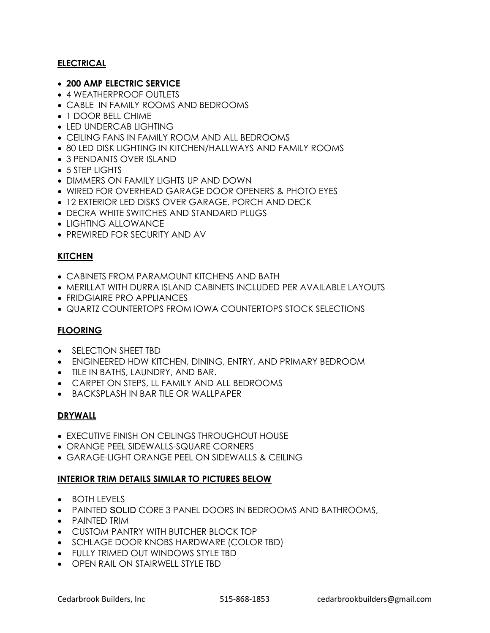# ELECTRICAL

- 200 AMP ELECTRIC SERVICE
- 4 WEATHERPROOF OUTLETS
- CABLE IN FAMILY ROOMS AND BEDROOMS
- 1 DOOR BELL CHIME
- LED UNDERCAB LIGHTING
- CEILING FANS IN FAMILY ROOM AND ALL BEDROOMS
- 80 LED DISK LIGHTING IN KITCHEN/HALLWAYS AND FAMILY ROOMS
- 3 PENDANTS OVER ISLAND
- 5 STEP LIGHTS
- DIMMERS ON FAMILY LIGHTS UP AND DOWN
- WIRED FOR OVERHEAD GARAGE DOOR OPENERS & PHOTO EYES
- 12 EXTERIOR LED DISKS OVER GARAGE, PORCH AND DECK
- DECRA WHITE SWITCHES AND STANDARD PLUGS
- LIGHTING ALLOWANCE
- **PREWIRED FOR SECURITY AND AV**

## KITCHEN

- CABINETS FROM PARAMOUNT KITCHENS AND BATH
- MERILLAT WITH DURRA ISLAND CABINETS INCLUDED PER AVAILABLE LAYOUTS
- FRIDGIAIRE PRO APPLIANCES
- **QUARTZ COUNTERTOPS FROM IOWA COUNTERTOPS STOCK SELECTIONS**

## FLOORING

- SELECTION SHEET TBD
- ENGINEERED HDW KITCHEN, DINING, ENTRY, AND PRIMARY BEDROOM
- TILE IN BATHS, LAUNDRY, AND BAR.
- CARPET ON STEPS, LL FAMILY AND ALL BEDROOMS
- BACKSPLASH IN BAR TILE OR WALLPAPER

## DRYWALL

- EXECUTIVE FINISH ON CEILINGS THROUGHOUT HOUSE
- ORANGE PEEL SIDEWALLS-SQUARE CORNERS
- GARAGE-LIGHT ORANGE PEEL ON SIDEWALLS & CEILING

## INTERIOR TRIM DETAILS SIMILAR TO PICTURES BELOW

- BOTH LEVELS
- PAINTED SOLID CORE 3 PANEL DOORS IN BEDROOMS AND BATHROOMS,
- PAINTED TRIM
- CUSTOM PANTRY WITH BUTCHER BLOCK TOP
- SCHLAGE DOOR KNOBS HARDWARE (COLOR TBD)
- FULLY TRIMED OUT WINDOWS STYLE TBD
- OPEN RAIL ON STAIRWELL STYLE TBD